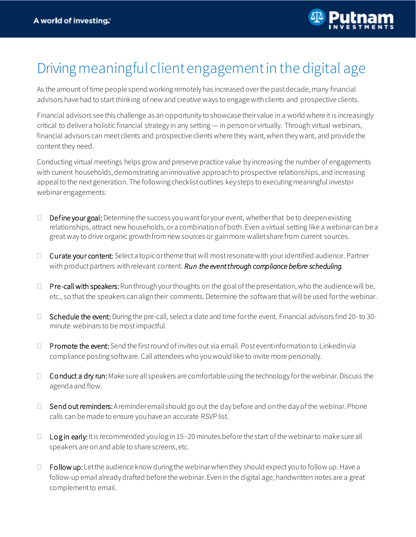

## Driving meaningful client engagement in the digital age

As the amount of time people spend working remotely has increased over the past decade, many financial advisors have had to start thinking of new and creative ways to engage with clients and prospective clients.

Financial advisors see this challenge as an opportunity to showcase their value in a world where it is increasingly critical to deliver a holistic financial strategy in any setting — in person or virtually. Through virtual webinars, financial advisors can meet clients and prospective clientswhere they want, when they want, and provide the content they need.

Conducting virtual meetings helps grow and preserve practice value by increasing the number of engagements with current households, demonstrating an innovative approach to prospective relationships, and increasing appeal to the next generation. The following checklist outlines key steps to executing meaningful investor webinar engagements:

- $\Box$  Define your goal: Determine the success you want for your event, whether that be to deepen existing relationships, attract new households, or a combination of both. Even a virtual setting like a webinar can be a great way to drive organic growth from new sources or gain more wallet share from current sources.
- $\Box$  Curate your content: Select a topic or theme that will most resonate with your identified audience. Partner with product partners with relevant content. *Run the event through compliance before scheduling.*
- $\Box$  Pre-call with speakers: Run through your thoughts on the goal of the presentation, who the audience will be, etc., so that the speakers can align their comments. Determine the software that will be used for the webinar.
- □ Schedule the event: During the pre-call, select a date and time for the event. Financial advisors find 20-to 30minute webinars to be mostimpactful.
- $\Box$  Promote the event: Send the first round of invites out via email. Post event information to LinkedIn via compliance posting software. Call attendees who you would like to invite more personally.
- $\Box$  Conduct a dry run: Make sure all speakers are comfortable using the technology for the webinar. Discuss the agenda and flow.
- $\Box$  Send out reminders: A reminder email should go out the day before and on the day of the webinar. Phone calls can be made to ensure you have an accurate RSVP list.
- $\Box$  Login early: It is recommended you log in 15–20 minutes before the start of the webinar to make sure all speakers are on and able to share screens, etc.
- $\Box$  Follow up: Let the audience know during the webinar when they should expect you to follow up. Have a follow-up email already drafted before the webinar. Even in the digital age, handwritten notes are a great complement to email.